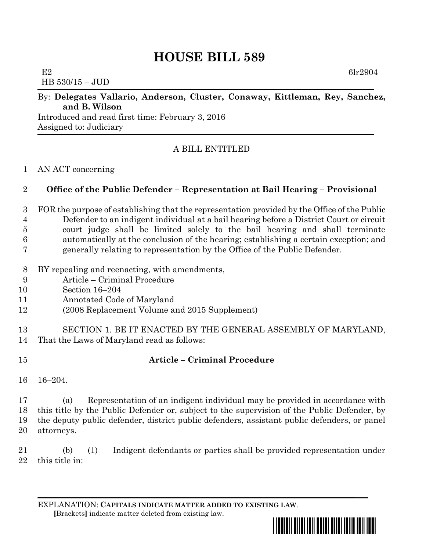# **HOUSE BILL 589**

 $E2$  6lr2904 HB 530/15 – JUD

#### By: **Delegates Vallario, Anderson, Cluster, Conaway, Kittleman, Rey, Sanchez, and B. Wilson**

Introduced and read first time: February 3, 2016 Assigned to: Judiciary

### A BILL ENTITLED

#### AN ACT concerning

#### **Office of the Public Defender – Representation at Bail Hearing – Provisional**

- FOR the purpose of establishing that the representation provided by the Office of the Public Defender to an indigent individual at a bail hearing before a District Court or circuit court judge shall be limited solely to the bail hearing and shall terminate automatically at the conclusion of the hearing; establishing a certain exception; and generally relating to representation by the Office of the Public Defender.
- BY repealing and reenacting, with amendments,
- Article Criminal Procedure
- Section 16–204
- Annotated Code of Maryland
- (2008 Replacement Volume and 2015 Supplement)
- SECTION 1. BE IT ENACTED BY THE GENERAL ASSEMBLY OF MARYLAND, That the Laws of Maryland read as follows:
- 

## **Article – Criminal Procedure**

16–204.

 (a) Representation of an indigent individual may be provided in accordance with this title by the Public Defender or, subject to the supervision of the Public Defender, by the deputy public defender, district public defenders, assistant public defenders, or panel attorneys.

 (b) (1) Indigent defendants or parties shall be provided representation under this title in: